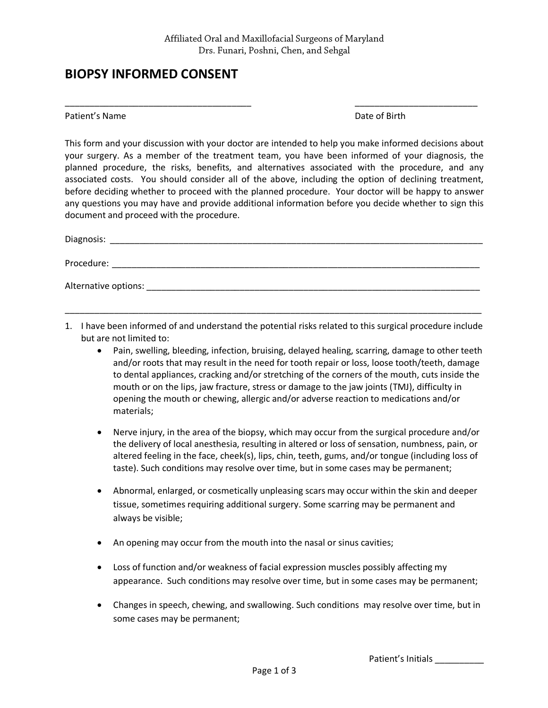\_\_\_\_\_\_\_\_\_\_\_\_\_\_\_\_\_\_\_\_\_\_\_\_\_\_\_\_\_\_\_\_\_\_\_\_\_\_ \_\_\_\_\_\_\_\_\_\_\_\_\_\_\_\_\_\_\_\_\_\_\_\_\_

## **BIOPSY INFORMED CONSENT**

Patient's Name **Date of Birth** 

This form and your discussion with your doctor are intended to help you make informed decisions about your surgery. As a member of the treatment team, you have been informed of your diagnosis, the planned procedure, the risks, benefits, and alternatives associated with the procedure, and any associated costs. You should consider all of the above, including the option of declining treatment, before deciding whether to proceed with the planned procedure. Your doctor will be happy to answer any questions you may have and provide additional information before you decide whether to sign this document and proceed with the procedure.

| Diagnosis:           |  |  |  |
|----------------------|--|--|--|
| Procedure:           |  |  |  |
| Alternative options: |  |  |  |

1. I have been informed of and understand the potential risks related to this surgical procedure include but are not limited to:

\_\_\_\_\_\_\_\_\_\_\_\_\_\_\_\_\_\_\_\_\_\_\_\_\_\_\_\_\_\_\_\_\_\_\_\_\_\_\_\_\_\_\_\_\_\_\_\_\_\_\_\_\_\_\_\_\_\_\_\_\_\_\_\_\_\_\_\_\_\_\_\_\_\_\_\_\_\_\_\_\_\_\_\_\_

- Pain, swelling, bleeding, infection, bruising, delayed healing, scarring, damage to other teeth and/or roots that may result in the need for tooth repair or loss, loose tooth/teeth, damage to dental appliances, cracking and/or stretching of the corners of the mouth, cuts inside the mouth or on the lips, jaw fracture, stress or damage to the jaw joints (TMJ), difficulty in opening the mouth or chewing, allergic and/or adverse reaction to medications and/or materials;
- Nerve injury, in the area of the biopsy, which may occur from the surgical procedure and/or the delivery of local anesthesia, resulting in altered or loss of sensation, numbness, pain, or altered feeling in the face, cheek(s), lips, chin, teeth, gums, and/or tongue (including loss of taste). Such conditions may resolve over time, but in some cases may be permanent;
- Abnormal, enlarged, or cosmetically unpleasing scars may occur within the skin and deeper tissue, sometimes requiring additional surgery. Some scarring may be permanent and always be visible;
- An opening may occur from the mouth into the nasal or sinus cavities;
- Loss of function and/or weakness of facial expression muscles possibly affecting my appearance. Such conditions may resolve over time, but in some cases may be permanent;
- Changes in speech, chewing, and swallowing. Such conditions may resolve over time, but in some cases may be permanent;

Patient's Initials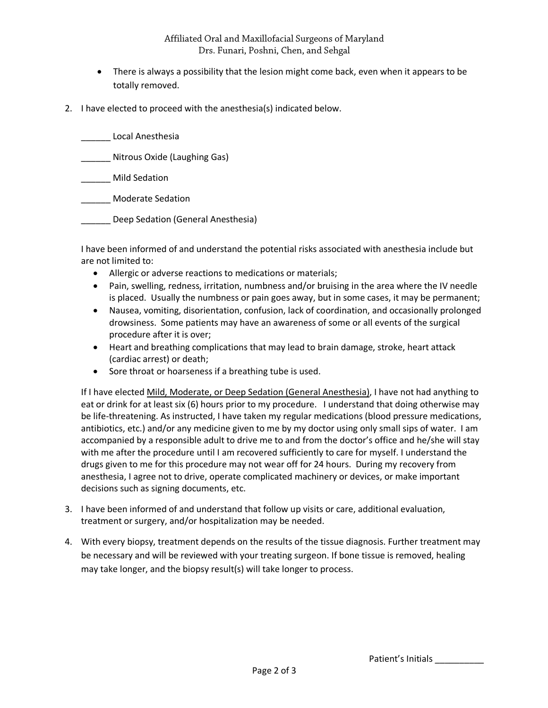## Affiliated Oral and Maxillofacial Surgeons of Maryland Drs. Funari, Poshni, Chen, and Sehgal

- There is always a possibility that the lesion might come back, even when it appears to be totally removed.
- 2. I have elected to proceed with the anesthesia(s) indicated below.

| Local Anesthesia                   |
|------------------------------------|
| Nitrous Oxide (Laughing Gas)       |
| Mild Sedation                      |
| Moderate Sedation                  |
| Deep Sedation (General Anesthesia) |

I have been informed of and understand the potential risks associated with anesthesia include but are not limited to:

- Allergic or adverse reactions to medications or materials;
- Pain, swelling, redness, irritation, numbness and/or bruising in the area where the IV needle is placed. Usually the numbness or pain goes away, but in some cases, it may be permanent;
- Nausea, vomiting, disorientation, confusion, lack of coordination, and occasionally prolonged drowsiness. Some patients may have an awareness of some or all events of the surgical procedure after it is over;
- Heart and breathing complications that may lead to brain damage, stroke, heart attack (cardiac arrest) or death;
- Sore throat or hoarseness if a breathing tube is used.

If I have elected Mild, Moderate, or Deep Sedation (General Anesthesia), I have not had anything to eat or drink for at least six (6) hours prior to my procedure. I understand that doing otherwise may be life-threatening. As instructed, I have taken my regular medications (blood pressure medications, antibiotics, etc.) and/or any medicine given to me by my doctor using only small sips of water. I am accompanied by a responsible adult to drive me to and from the doctor's office and he/she will stay with me after the procedure until I am recovered sufficiently to care for myself. I understand the drugs given to me for this procedure may not wear off for 24 hours. During my recovery from anesthesia, I agree not to drive, operate complicated machinery or devices, or make important decisions such as signing documents, etc.

- 3. I have been informed of and understand that follow up visits or care, additional evaluation, treatment or surgery, and/or hospitalization may be needed.
- 4. With every biopsy, treatment depends on the results of the tissue diagnosis. Further treatment may be necessary and will be reviewed with your treating surgeon. If bone tissue is removed, healing may take longer, and the biopsy result(s) will take longer to process.